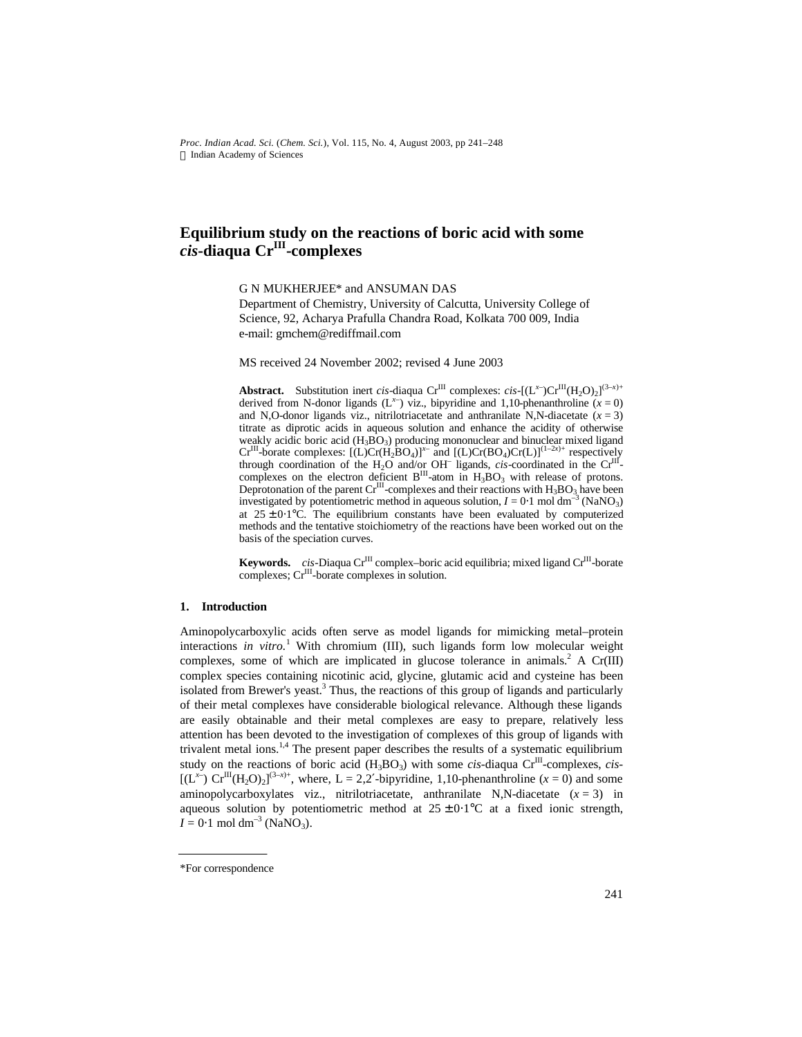*Proc. Indian Acad. Sci.* (*Chem. Sci.*), Vol. 115, No. 4, August 2003, pp 241–248  $©$  Indian Academy of Sciences

## **Equilibrium study on the reactions of boric acid with some** *cis***-diaqua CrIII -complexes**

G N MUKHERJEE\* and ANSUMAN DAS

Department of Chemistry, University of Calcutta, University College of Science, 92, Acharya Prafulla Chandra Road, Kolkata 700 009, India e-mail: gmchem@rediffmail.com

MS received 24 November 2002; revised 4 June 2003

**Abstract.** Substitution inert *cis*-diaqua Cr<sup>III</sup> complexes: *cis*-[(L<sup>*x*</sup>)Cr<sup>III</sup>(H<sub>2</sub>O)<sub>2</sub>]<sup>(3-*x*)+</sup> derived from N-donor ligands  $(L^{x-})$  viz., bipyridine and 1,10-phenanthroline  $(x=0)$ and N,O-donor ligands viz., nitrilotriacetate and anthranilate N,N-diacetate  $(x = 3)$ titrate as diprotic acids in aqueous solution and enhance the acidity of otherwise weakly acidic boric acid  $(H_3BO_3)$  producing mononuclear and binuclear mixed ligand Cr<sup>III</sup>-borate complexes:  $[(L)Cr(H_2BO_4)]^{x-}$  and  $[(L)Cr(BO_4)Cr(L)]^{(1-2x)+}$  respectively through coordination of the H<sub>2</sub>O and/or OH<sup>-</sup> ligands, *cis*-coordinated in the Cr<sup>III</sup>-<br>complexes on the electron deficient B<sup>III</sup>-atom in H<sub>3</sub>BO<sub>3</sub> with release of protons.<br>Deprotonation of the parent Cr<sup>III</sup>-complexes investigated by potentiometric method in aqueous solution,  $I = 0.1$  mol dm<sup>-3</sup> (NaNO<sub>3</sub>) at  $25 \pm 0.1$ °C. The equilibrium constants have been evaluated by computerized methods and the tentative stoichiometry of the reactions have been worked out on the basis of the speciation curves.

**Keywords.** *cis*-Diaqua Cr<sup>III</sup> complex-boric acid equilibria; mixed ligand Cr<sup>III</sup>-borate complexes; Cr<sup>III</sup>-borate complexes in solution.

#### **1. Introduction**

Aminopolycarboxylic acids often serve as model ligands for mimicking metal–protein interactions *in vitro.*<sup>1</sup> With chromium (III), such ligands form low molecular weight complexes, some of which are implicated in glucose tolerance in animals.<sup>2</sup> A Cr(III) complex species containing nicotinic acid, glycine, glutamic acid and cysteine has been isolated from Brewer's yeast.<sup>3</sup> Thus, the reactions of this group of ligands and particularly of their metal complexes have considerable biological relevance. Although these ligands are easily obtainable and their metal complexes are easy to prepare, relatively less attention has been devoted to the investigation of complexes of this group of ligands with trivalent metal ions.<sup>1,4</sup> The present paper describes the results of a systematic equilibrium study on the reactions of boric acid  $(H_3BO_3)$  with some *cis*-diaqua  $Cr^{III}$ -complexes, *cis*- $[(L^{x-}) \operatorname{Cr}^{\text{III}}(H_2O)_2]^{(3-x)+}$ , where, L = 2,2'-bipyridine, 1,10-phenanthroline (*x* = 0) and some aminopolycarboxylates viz., nitrilotriacetate, anthranilate N,N-diacetate  $(x = 3)$  in aqueous solution by potentiometric method at  $25 \pm 0.1^{\circ}$ C at a fixed ionic strength,  $I = 0.1$  mol dm<sup>-3</sup> (NaNO<sub>3</sub>).

<sup>\*</sup>For correspondence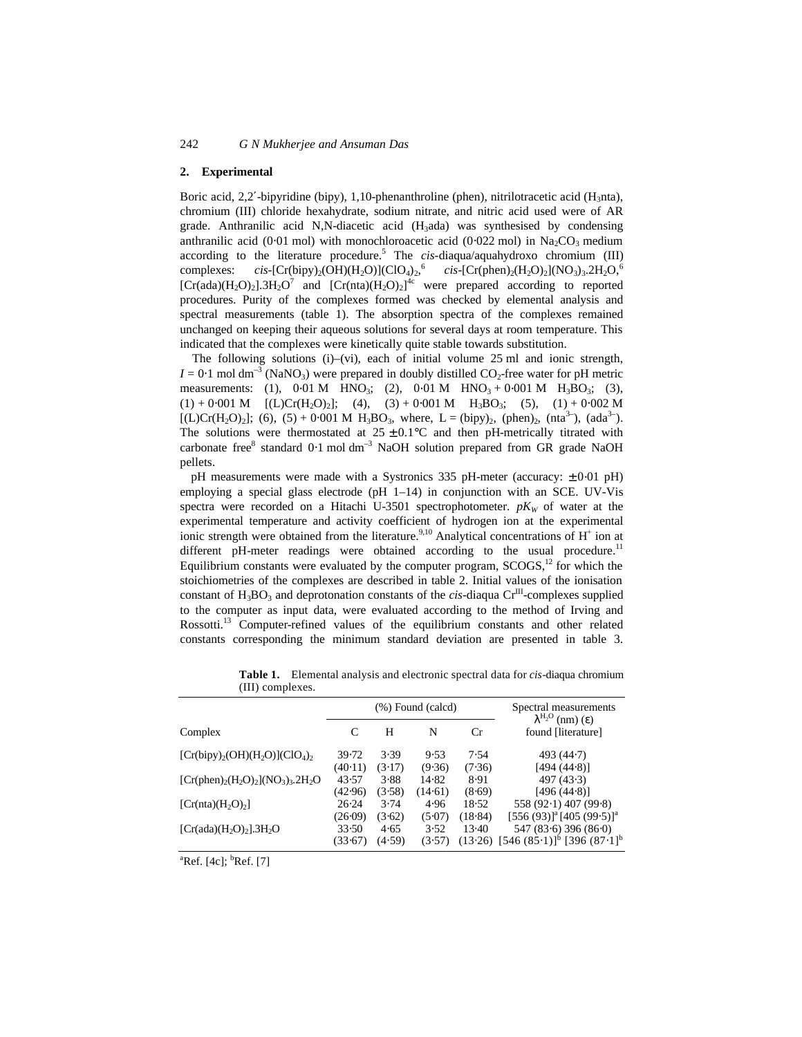#### **2. Experimental**

Boric acid, 2,2′-bipyridine (bipy), 1,10-phenanthroline (phen), nitrilotracetic acid (H<sub>3</sub>nta), chromium (III) chloride hexahydrate, sodium nitrate, and nitric acid used were of AR grade. Anthranilic acid N,N-diacetic acid  $(H_3)$  was synthesised by condensing anthranilic acid (0⋅01 mol) with monochloroacetic acid (0⋅022 mol) in Na<sub>2</sub>CO<sub>3</sub> medium according to the literature procedure.<sup>5</sup> The *cis*-diaqua/aquahydroxo chromium (III) complexes: *cis*-[Cr(bipy)<sub>2</sub>(OH)(H<sub>2</sub>O)](ClO<sub>4</sub>)<sub>2</sub>,<sup>6</sup> *cis*-[Cr(phen)<sub>2</sub>(H<sub>2</sub>O)<sub>2</sub>](NO<sub>3</sub>)<sub>3</sub>.2H<sub>2</sub>O,<sup>6</sup> [Cr(ada)(H<sub>2</sub>O)<sub>2</sub>].3H<sub>2</sub>O<sup>7</sup> and [Cr(nta)(H<sub>2</sub>O)<sub>2</sub>]<sup>4c</sup> were prepared according to reported procedures. Purity of the complexes formed was checked by elemental analysis and spectral measurements (table 1). The absorption spectra of the complexes remained unchanged on keeping their aqueous solutions for several days at room temperature. This indicated that the complexes were kinetically quite stable towards substitution.

The following solutions (i)–(vi), each of initial volume 25 ml and ionic strength,  $I = 0.1$  mol dm<sup>-3</sup> (NaNO<sub>3</sub>) were prepared in doubly distilled CO<sub>2</sub>-free water for pH metric measurements: (1),  $0.01 M$  HNO<sub>3</sub>; (2),  $0.01 M$  HNO<sub>3</sub> +  $0.001 M$  H<sub>3</sub>BO<sub>3</sub>; (3),  $(1) + 0.001 M$  [(L)Cr(H<sub>2</sub>O)<sub>2</sub>]; (4), (3) + 0⋅001 M H<sub>3</sub>BO<sub>3</sub>; (5), (1) + 0⋅002 M  $[(L)Cr(H<sub>2</sub>O)<sub>2</sub>]; (6), (5) + 0.001 M H<sub>3</sub>BO<sub>3</sub>, where, L = (bipy)<sub>2</sub>, (phen)<sub>2</sub>, (nta<sup>3-</sup>), (ada<sup>3-</sup>).$ The solutions were thermostated at  $25 \pm 0.1^{\circ}$ C and then pH-metrically titrated with carbonate free<sup>8</sup> standard 0⋅1 mol dm<sup>-3</sup> NaOH solution prepared from GR grade NaOH pellets.

pH measurements were made with a Systronics 335 pH-meter (accuracy: ± 0⋅01 pH) employing a special glass electrode (pH  $1-14$ ) in conjunction with an SCE. UV-Vis spectra were recorded on a Hitachi U-3501 spectrophotometer.  $pK_W$  of water at the experimental temperature and activity coefficient of hydrogen ion at the experimental ionic strength were obtained from the literature.<sup>9,10</sup> Analytical concentrations of  $H^+$  ion at different pH-meter readings were obtained according to the usual procedure.<sup>11</sup> Equilibrium constants were evaluated by the computer program,  $SCOGS<sup>12</sup>$  for which the stoichiometries of the complexes are described in table 2. Initial values of the ionisation constant of  $H_3BO_3$  and deprotonation constants of the *cis*-diaqua  $Cr^{III}$ -complexes supplied to the computer as input data, were evaluated according to the method of Irving and Rossotti.<sup>13</sup> Computer-refined values of the equilibrium constants and other related constants corresponding the minimum standard deviation are presented in table 3.

| <b>III)</b> COMPICACS.                       |                      |        |         |         |                                                         |
|----------------------------------------------|----------------------|--------|---------|---------|---------------------------------------------------------|
|                                              | $(\%)$ Found (calcd) |        |         |         | Spectral measurements<br>$I^{\mathrm{H}_2O}$ (nm) (e)   |
| Complex                                      |                      | H      | N       | Cr      | found [literature]                                      |
| $[Cr(bipy)2(OH)(H2O)](ClO4)2$                | 39.72                | 3.39   | 9.53    | 7.54    | 493 (44.7)                                              |
|                                              | (40.11)              | (3.17) | (9.36)  | (7.36)  | [494 (44.8)]                                            |
| $[Cr(phen)2(H2O)2](NO3)3$ .2H <sub>2</sub> O | 43.57                | 3.88   | 14.82   | 8.91    | 497(43.3)                                               |
|                                              | (42.96)              | (3.58) | (14.61) | (8.69)  | [496 (44.8)]                                            |
| $[Cr(nta)(H_2O)_2]$                          | 26.24                | 3.74   | 4.96    | 18.52   | 558 (92.1) 407 (99.8)                                   |
|                                              | (26.09)              | (3.62) | (5.07)  | (18.84) | $[556 (93)]^a [405 (99.5)]^a$                           |
| [ $Cr(ada)(H_2O)_2$ ].3H <sub>2</sub> O      | 33.50                | 4.65   | 3.52    | $13-40$ | 547 (83.6) 396 (86.0)                                   |
|                                              | (33.67)              | (4.59) | (3.57)  | (13.26) | $[546 (85 \cdot 1)]^b$ [396 (87 $\cdot$ 1] <sup>b</sup> |

**Table 1.** Elemental analysis and electronic spectral data for *cis*-diaqua chromium  $(III)$  complexes

(33⋅67) (4⋅59) (3⋅57) (13⋅26) [546 (85⋅1)]<sup>b</sup> [396 (87⋅1]<sup>b</sup>

 ${}^{a}$ Ref. [4c];  ${}^{b}$ Ref. [7]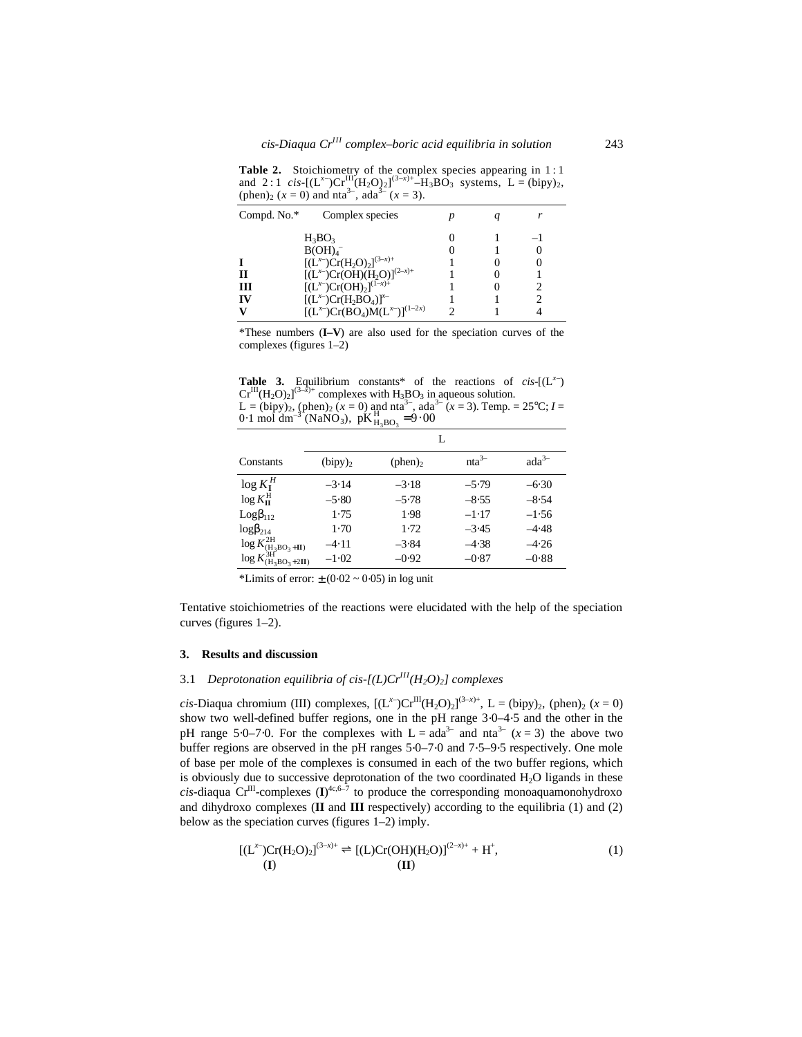Table 2. Stoichiometry of the complex species appearing in 1:1 and 2:1 *cis*-[(L<sup>x–</sup>)Cr<sup>III</sup>(H<sub>2</sub>O)<sub>2</sub>]<sup>(3-x)+</sup>-H<sub>3</sub>BO<sub>3</sub> systems, L = (bipy)<sub>2</sub>, (phen)<sub>2</sub> ( $x = 0$ ) and nta<sup>3–</sup>, ada<sup>3–</sup> ( $x = 3$ ).

| Compd. No.*  | Complex species                                                                                                                          |  |  |
|--------------|------------------------------------------------------------------------------------------------------------------------------------------|--|--|
| Н<br>ш<br>IV | $H_3BO_3$<br>B(OH) <sub>4</sub><br>$[(L^{x-})Cr(H_2O)_2]^{(3-x)+}$<br>$[(L^{x-})Cr(OH)(H_2O)]^{(2-x)+}$<br>$[(L^{x-})Cr(OH)_2]^{(1-x)+}$ |  |  |
|              | $[(L^{x-})Cr(H_2BO_4)]^{x-}$<br>$[(L^{x-})Cr(BO_4)M(L^{x-})]^{(1-2x)}$                                                                   |  |  |

\*These numbers (**I–V**) are also used for the speciation curves of the complexes (figures 1–2)

**Table 3.** Equilibrium constants\* of the reactions of *cis*-[( $L^{x-}$ )  $Cr^{III}(H_2O)_2$ ]<sup>(3-*x*)+</sup> complexes with  $H_3BO_3$  in aqueous solution. L = (bipy)<sub>2</sub>, (phen)<sub>2</sub> ( $x = 0$ ) and nta<sup>3-</sup>, ada<sup>3-</sup> ( $x = 3$ ). Temp. = 25°C; I = 0.1 mol dm<sup>-3</sup> (NaNO<sub>3</sub>),  $pK_{H_3BO_3}^H = 9.00$ 

|                                       |            | L       |            |            |
|---------------------------------------|------------|---------|------------|------------|
| Constants                             | $(bipy)_2$ | (phen)  | $n a^{3-}$ | $ada^{3-}$ |
| $\log K_{I}^{H}$                      | $-3.14$    | $-3.18$ | $-5.79$    | $-6.30$    |
| $\log K_{\rm II}^{\rm H}$             | $-5.80$    | $-5.78$ | $-8.55$    | $-8.54$    |
| $Logb_{112}$                          | 1.75       | 1.98    | $-1.17$    | $-1.56$    |
| $logb_{214}$                          | $1-70$     | 1.72    | $-3.45$    | $-4.48$    |
| $\log K^{\rm 2H}_{\rm (H_3BO_3+II)}$  | $-4.11$    | $-3.84$ | $-4.38$    | $-4.26$    |
| $\log K^{\rm 3H}_{\rm (H_3BO_3+2II)}$ | $-1.02$    | $-0.92$ | $-0.87$    | $-0.88$    |

<sup>\*</sup>Limits of error:  $\pm (0.02 \sim 0.05)$  in log unit

Tentative stoichiometries of the reactions were elucidated with the help of the speciation curves (figures 1–2).

#### **3. Results and discussion**

### 3.1 *Deprotonation equilibria of cis-[(L)CrIII(H2O)2] complexes*

*cis*-Diaqua chromium (III) complexes,  $[(L^x)Cr^{III}(H_2O)_2]^{(3-x)+}$ , L = (bipy)<sub>2</sub>, (phen)<sub>2</sub> (*x* = 0) show two well-defined buffer regions, one in the pH range 3⋅0–4⋅5 and the other in the pH range 5⋅0–7⋅0. For the complexes with  $L = ada<sup>3−</sup>$  and nta<sup>3−</sup> ( $x = 3$ ) the above two buffer regions are observed in the pH ranges 5⋅0–7⋅0 and 7⋅5–9⋅5 respectively. One mole of base per mole of the complexes is consumed in each of the two buffer regions, which is obviously due to successive deprotonation of the two coordinated  $H_2O$  ligands in these  $cis$ -diaqua  $Cr^{III}$ -complexes  $(I)^{4c,6-7}$  to produce the corresponding monoaquamonohydroxo and dihydroxo complexes (**II** and **III** respectively) according to the equilibria (1) and (2) below as the speciation curves (figures 1–2) imply.

$$
[(Lx-)Cr(H2O)2](3-x)+ \rightleftharpoons [(L)Cr(OH)(H2O)](2-x)+ + H+,(I)
$$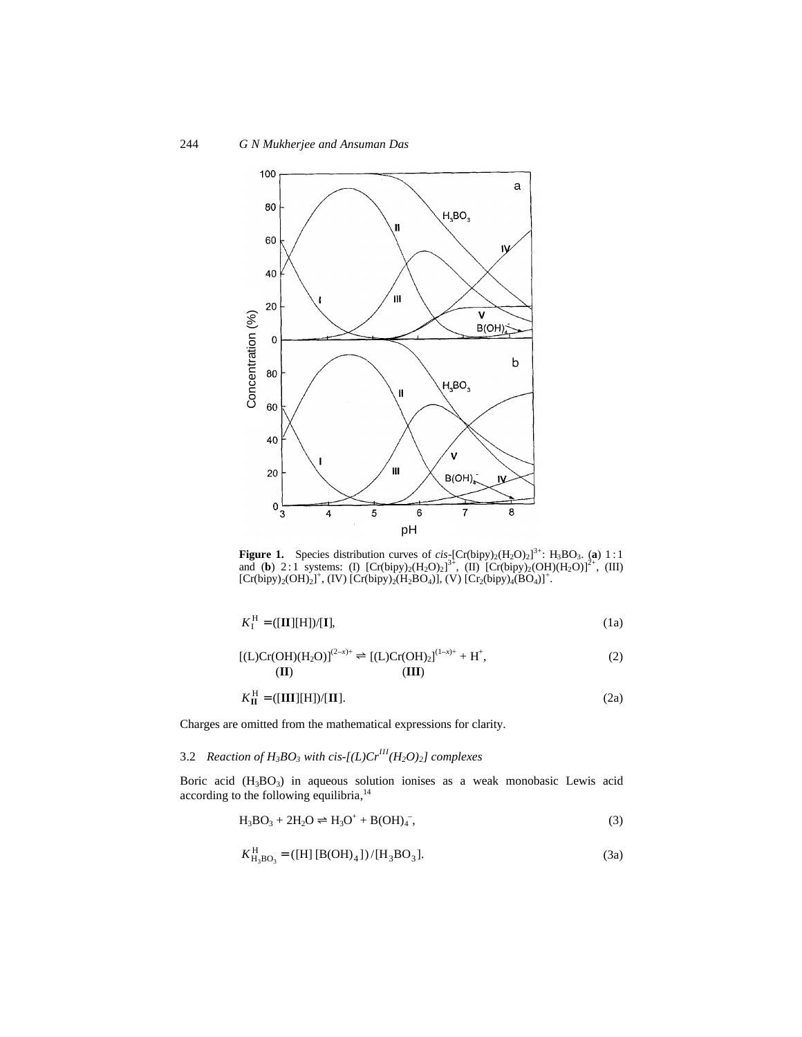

**Figure 1.** Species distribution curves of  $cis_{z}$ [Cr(bipy)<sub>2</sub>(H<sub>2</sub>O)<sub>2</sub>]<sup>3+</sup>: H<sub>3</sub>BO<sub>3</sub>. (a) 1:1 and (**b**) 2:1 systems: (I)  $[Cr(bipy)_2(H_2O)_2]^3$ <sup>2</sup>, (II)  $[Cr(bipy)_2(OH)(H_2O)]^{2+}$ , (III)  $[Cr(bipy)<sub>2</sub>(OH)<sub>2</sub>]<sup>+</sup>$ , (IV)  $[Cr(bipy)<sub>2</sub>(H<sub>2</sub>BO<sub>4</sub>)]<sup>7</sup>$ , (V)  $[Cr<sub>2</sub>(bipy)<sub>4</sub>(BO<sub>4</sub>)]<sup>+</sup>$ .

$$
K_{\mathrm{I}}^{\mathrm{H}} = ([\mathbf{II}][\mathbf{H}]) / [\mathbf{I}], \tag{1a}
$$

$$
[(L)Cr(OH)(H_2O)]^{(2-x)+} \rightleftharpoons [(L)Cr(OH)_2]^{(1-x)+} + H^+,
$$
\n(2)

$$
K_{\mathbf{II}}^{\mathbf{H}} = ([\mathbf{III}][\mathbf{H}])/[\mathbf{II}].
$$
 (2a)

Charges are omitted from the mathematical expressions for clarity.

# 3.2 *Reaction of H<sub>3</sub>BO<sub>3</sub></sub> with cis-[(L)Cr*<sup>*III</sup>*(*H<sub>2</sub>O)*<sub>2</sub>*] complexes*</sup>

Boric acid  $(H_3BO_3)$  in aqueous solution ionises as a weak monobasic Lewis acid according to the following equilibria,<sup>14</sup>

> $H_3BO_3 + 2H_2O \rightleftharpoons H_3O^+ + B(OH)_4^ \hspace{1.6cm}$ , (3)

$$
K_{\text{H}_3\text{BO}_3}^{\text{H}} = ([\text{H}][\text{B}(\text{OH})_4]) / [\text{H}_3\text{BO}_3].
$$
 (3a)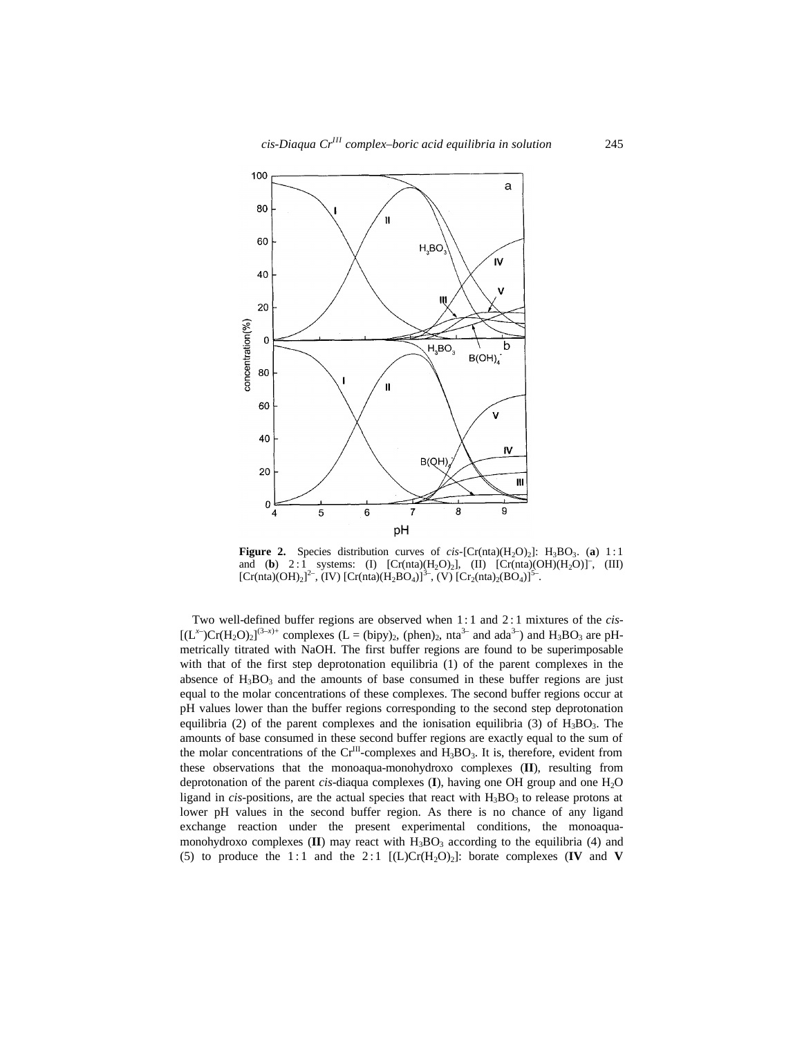

**Figure 2.** Species distribution curves of *cis*-[Cr(nta)( $H_2O$ )<sub>2</sub>]:  $H_3BO_3$ . (**a**) 1:1 and (**b**) 2:1 systems: (I)  $[Cr(nta)(H_2O)_2]$ , (II)  $[Cr(nta)(OH)(H_2O)]^-$ , (III)  $[Cr(nta)(OH)_2]^2$ ,  $(IV) [Cr(nta)(H_2BO_4)]^3$ ,  $(V) [Cr_2(nta)_2(BO_4)]^5$ .

Two well-defined buffer regions are observed when 1: 1 and 2 : 1 mixtures of the *cis*-  $[(L^{x-})Cr(H_2O)_2]^{(3-x)+}$  complexes  $(L = (bipy)_2, (phen)_2, nta^{3-}$  and  $ada^{3-}$ ) and  $H_3BO_3$  are pHmetrically titrated with NaOH. The first buffer regions are found to be superimposable with that of the first step deprotonation equilibria (1) of the parent complexes in the absence of  $H_3BO_3$  and the amounts of base consumed in these buffer regions are just equal to the molar concentrations of these complexes. The second buffer regions occur at pH values lower than the buffer regions corresponding to the second step deprotonation equilibria (2) of the parent complexes and the ionisation equilibria (3) of  $H_3BO_3$ . The amounts of base consumed in these second buffer regions are exactly equal to the sum of the molar concentrations of the  $Cr^{III}$ -complexes and  $H_3BO_3$ . It is, therefore, evident from these observations that the monoaqua-monohydroxo complexes (**II**), resulting from deprotonation of the parent *cis*-diaqua complexes (I), having one OH group and one H<sub>2</sub>O ligand in *cis*-positions, are the actual species that react with  $H_3BO_3$  to release protons at lower pH values in the second buffer region. As there is no chance of any ligand exchange reaction under the present experimental conditions, the monoaquamonohydroxo complexes  $(II)$  may react with  $H_3BO_3$  according to the equilibria (4) and (5) to produce the 1:1 and the 2:1  $[(L)Cr(H<sub>2</sub>O)<sub>2</sub>]$ : borate complexes  $(IV \text{ and } V)$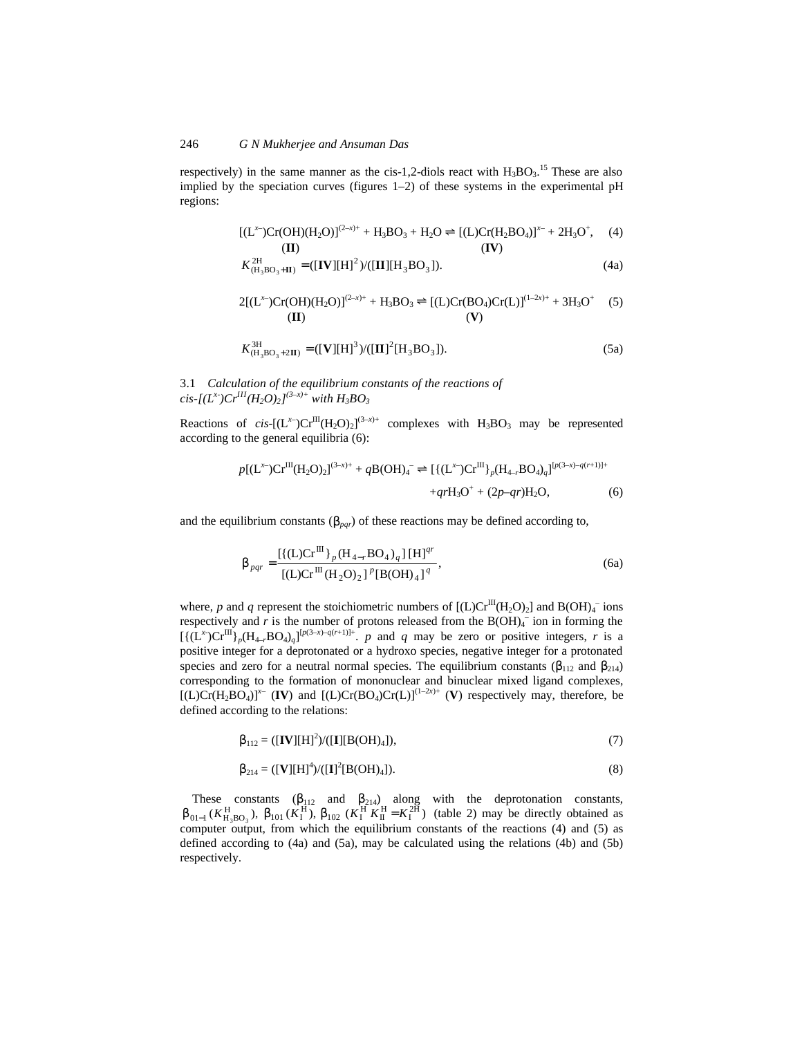#### 246 *G N Mukherjee and Ansuman Das*

respectively) in the same manner as the cis-1,2-diols react with  $H_3BO_3$ .<sup>15</sup> These are also implied by the speciation curves (figures  $1-2$ ) of these systems in the experimental pH regions:

$$
[(L^{x-})Cr(OH)(H_2O)]^{(2-x)+} + H_3BO_3 + H_2O \rightleftharpoons [(L)Cr(H_2BO_4)]^{x-} + 2H_3O^+, \quad (4)
$$
  
(**II**)

$$
K_{\left(\mathrm{H}_{3}\mathrm{BO}_{3}+\mathrm{II}\right)}^{2\mathrm{H}} = ([\mathbf{IV}][\mathbf{H}]^{2})/([\mathbf{II}][\mathbf{H}_{3}\mathrm{BO}_{3}]). \tag{4a}
$$

$$
2[(L^{x-})Cr(OH)(H_2O)]^{(2-x)+} + H_3BO_3 \rightleftharpoons [(L)Cr(BO_4)Cr(L)]^{(1-2x)+} + 3H_3O^+ \quad (5)
$$
\n
$$
(II)
$$

$$
K_{\left(\text{H}_{3}\text{BO}_{3}+2\text{II}\right)}^{\text{3H}} = ([\mathbf{V}][\text{H}]^{3})/([\mathbf{II}]^{2}[\text{H}_{3}\text{BO}_{3}]). \tag{5a}
$$

3.1 *Calculation of the equilibrium constants of the reactions of*  $c$ *is-[(L<sup>x-</sup>)Cr<sup>III</sup>(H<sub>2</sub>O)<sub>2</sub>]<sup>(3–x)+</sup> with H<sub>3</sub>BO<sub>3</sub>* 

Reactions of *cis*- $[(L^x)Cr^{III}(H_2O)_2]^{(3-x)+}$  complexes with  $H_3BO_3$  may be represented according to the general equilibria (6):

$$
p[(\mathbf{L}^{x})\mathbf{C}\mathbf{r}^{\text{III}}(\mathbf{H}_{2}\mathbf{O})_{2}]^{(3-x)+} + q\mathbf{B}(\mathbf{O}\mathbf{H})_{4}^{-} \rightleftharpoons [\{(\mathbf{L}^{x})\mathbf{C}\mathbf{r}^{\text{III}}\}_{p}(\mathbf{H}_{4-r}\mathbf{B}\mathbf{O}_{4})_{q}]^{[p(3-x)-q(r+1)]+} + qr\mathbf{H}_{3}\mathbf{O}^{+} + (2p-qr)\mathbf{H}_{2}\mathbf{O},
$$
\n(6)

and the equilibrium constants ( $\mathbf{b}_{par}$ ) of these reactions may be defined according to,

$$
\boldsymbol{b}_{pqr} = \frac{\left[ \left\{ (\mathbf{L})\mathbf{C}\mathbf{r}^{\mathbf{H}} \right\}_{p} (\mathbf{H}_{4-r}\mathbf{B}\mathbf{O}_{4})_{q} \right] [\mathbf{H}]^{qr}}{\left[ (\mathbf{L})\mathbf{C}\mathbf{r}^{\mathbf{H}} (\mathbf{H}_{2}\mathbf{O})_{2} \right]^{p} [\mathbf{B}(\mathbf{O}\mathbf{H})_{4}]^{q}},
$$
\n(6a)

where, p and q represent the stoichiometric numbers of  $[(L)Cr^{III}(H_2O)_2]$  and  $B(OH)_4^-$  ions respectively and  $r$  is the number of protons released from the  $B(OH)_4$ <sup>-</sup> ion in forming the  $[{(L^x)Cr^{III}}]_p(H_{4-r}BO_4)_q]^{[p(3-x)-q(r+1)]^+}$ . *p* and *q* may be zero or positive integers, *r* is a positive integer for a deprotonated or a hydroxo species, negative integer for a protonated species and zero for a neutral normal species. The equilibrium constants  $(b_{112}$  and  $b_{214})$ corresponding to the formation of mononuclear and binuclear mixed ligand complexes,  $[(L)Cr(H_2BO_4)]^{x-}$  (IV) and  $[(L)Cr(BO_4)Cr(L)]^{(1-2x)+}$  (V) respectively may, therefore, be defined according to the relations:

$$
\boldsymbol{b}_{112} = ([\mathbf{IV}][\mathbf{H}]^2) / ([\mathbf{I}][\mathbf{B}(\mathbf{OH})_4]), \tag{7}
$$

$$
\mathbf{b}_{214} = ([\mathbf{V}][\mathbf{H}]^{4})/([\mathbf{I}]^{2}[\mathbf{B}(\mathbf{OH})_{4}]). \tag{8}
$$

These constants  $(b_{112}$  and  $b_{214}$ ) along with the deprotonation constants,  $\bm{b}_{01-1}$  ( $K_{H_3BO_3}^H$ ),  $\bm{b}_{101}$  ( $K_I^H$ ),  $\bm{b}_{102}$  ( $K_I^H K_{II}^H = K_I^{2H}$ ) (table 2) may be directly obtained as computer output, from which the equilibrium constants of the reactions (4) and (5) as defined according to (4a) and (5a), may be calculated using the relations (4b) and (5b) respectively.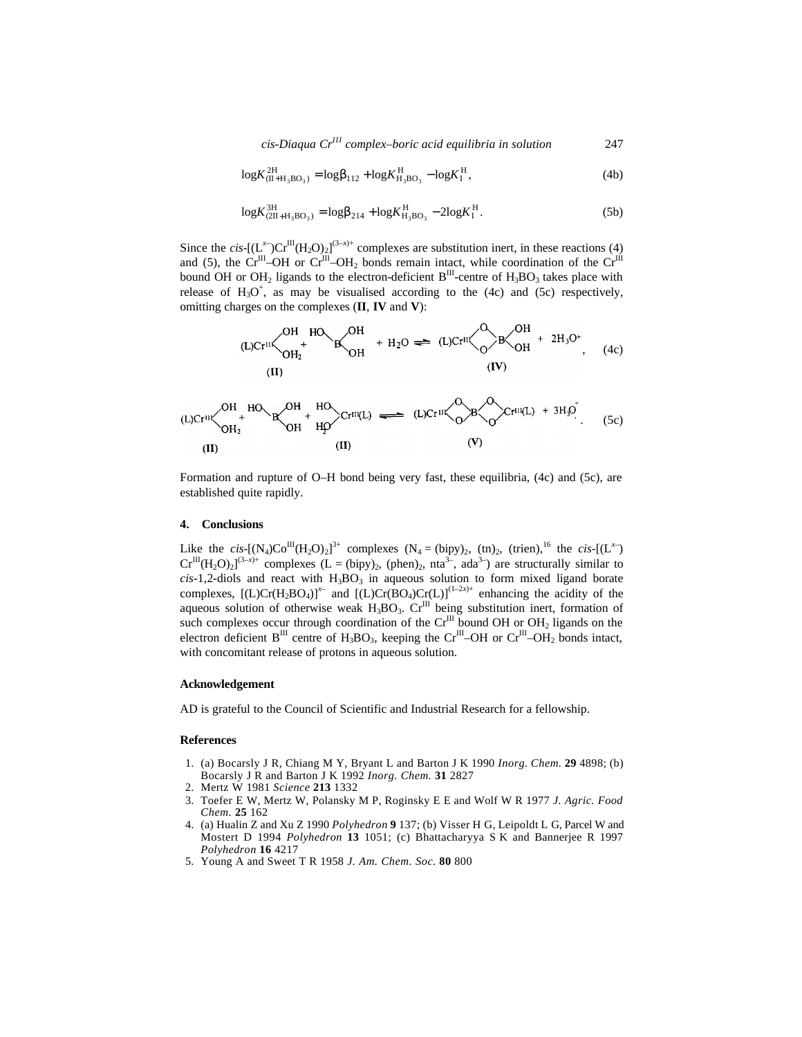*cis-Diaqua CrIII complex–boric acid equilibria in solution* 247

$$
\log K_{(\text{II} + \text{H}_3 \text{BO}_3)}^{\text{2H}} = \log \mathbf{b}_{112} + \log K_{\text{H}_3 \text{BO}_3}^{\text{H}} - \log K_{\text{I}}^{\text{H}},
$$
(4b)

$$
\log K_{(2II+H_3BO_3)}^{3H} = \log b_{214} + \log K_{H_3BO_3}^H - 2\log K_I^H.
$$
 (5b)

Since the *cis*- $[(L^x)Cr^{III}(H_2O)_2]^{(3-x)+}$  complexes are substitution inert, in these reactions (4) and (5), the Cr<sup>III</sup>–OH or Cr<sup>III</sup>–OH<sub>2</sub> bonds remain intact, while coordination of the Cr<sup>III</sup> bound OH or OH<sub>2</sub> ligands to the electron-deficient  $B<sup>III</sup>$ -centre of H<sub>3</sub>BO<sub>3</sub> takes place with release of  $H_3O^+$ , as may be visualised according to the (4c) and (5c) respectively, omitting charges on the complexes (**II**, **IV** and **V**):

$$
(L)Cr^{III} \left\{\begin{array}{ccc}\nOH & HO & OH & H_2O & \implies (L)Cr^{III} & O & H_2O \\
CH & H_2 & H_2O & \implies (L)Cr^{III} & O & H_2O \\
CH & H_2 & H_2O & \implies (L)Cr^{III} & O & H_2O \\
CH & H_2 & \implies (L)Cr^{III} & O & H_2O \\
CH & H_2 & \implies (L)Cr^{III} & O & H_2O\n\end{array}\right\}.
$$

$$
(L)Cr^{III} \left\langle \begin{array}{ccc} OH & HO & OH & HO \\ & + & CO & H & HQ \end{array} \right\rangle Cr^{III}(L) \implies (L)Cr^{III} \left\langle \begin{array}{ccc} O & O & O \\ & O & O & O \end{array} \right\rangle Cr^{III}(L) + 3H_3O \tag{5c}
$$
\n
$$
(IL) \qquad (II) \qquad (V)
$$

Formation and rupture of O–H bond being very fast, these equilibria, (4c) and (5c), are established quite rapidly.

#### **4. Conclusions**

Like the *cis*-[(N<sub>4</sub>)Co<sup>III</sup>(H<sub>2</sub>O)<sub>2</sub>]<sup>3+</sup> complexes (N<sub>4</sub> = (bipy)<sub>2</sub>, (tn)<sub>2</sub>, (trien),<sup>16</sup> the *cis*-[(L<sup>x–</sup>)  $Cr^{III}(H_2O)_2$ <sup>(3-x)+</sup> complexes (L = (bipy)<sub>2</sub>, (phen)<sub>2</sub>, nta<sup>3-</sup>, ada<sup>3-</sup>) are structurally similar to  $cis-1$ ,2-diols and react with  $H_3BO_3$  in aqueous solution to form mixed ligand borate complexes,  $[(L)Cr(H_2BO_4)]^{x-}$  and  $[(L)Cr(BO_4)Cr(L)]^{(1-2x)+}$  enhancing the acidity of the aqueous solution of otherwise weak  $H_3BO_3$ .  $Cr^{III}$  being substitution inert, formation of such complexes occur through coordination of the  $Cr^{III}$  bound OH or OH<sub>2</sub> ligands on the electron deficient  $B^{III}$  centre of H<sub>3</sub>BO<sub>3</sub>, keeping the Cr<sup>III</sup>–OH or Cr<sup>III</sup>–OH<sub>2</sub> bonds intact, with concomitant release of protons in aqueous solution.

#### **Acknowledgement**

AD is grateful to the Council of Scientific and Industrial Research for a fellowship.

#### **References**

- 1. (a) Bocarsly J R, Chiang M Y, Bryant L and Barton J K 1990 *Inorg. Chem.* **29** 4898; (b) Bocarsly J R and Barton J K 1992 *Inorg. Chem.* **31** 2827
- 2. Mertz W 1981 *Science* **213** 1332
- 3. Toefer E W, Mertz W, Polansky M P, Roginsky E E and Wolf W R 1977 *J. Agric. Food Chem.* **25** 162
- 4. (a) Hualin Z and Xu Z 1990 *Polyhedron* **9** 137; (b) Visser H G, Leipoldt L G, Parcel W and Mostert D 1994 *Polyhedron* **13** 1051; (c) Bhattacharyya S K and Bannerjee R 1997 *Polyhedron* **16** 4217
- 5. Young A and Sweet T R 1958 *J. Am. Chem. Soc.* **80** 800